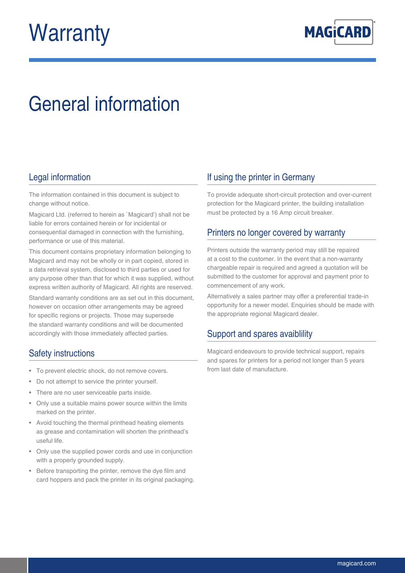# **Warranty**



## General information

#### Legal information

The information contained in this document is subject to change without notice.

Magicard Ltd. (referred to herein as `Magicard') shall not be liable for errors contained herein or for incidental or consequential damaged in connection with the furnishing, performance or use of this material.

This document contains proprietary information belonging to Magicard and may not be wholly or in part copied, stored in a data retrieval system, disclosed to third parties or used for any purpose other than that for which it was supplied, without express written authority of Magicard. All rights are reserved.

Standard warranty conditions are as set out in this document, however on occasion other arrangements may be agreed for specific regions or projects. Those may supersede the standard warranty conditions and will be documented accordingly with those immediately affected parties.

### Safety instructions

- To prevent electric shock, do not remove covers.
- Do not attempt to service the printer yourself.
- There are no user serviceable parts inside.
- Only use a suitable mains power source within the limits marked on the printer.
- Avoid touching the thermal printhead heating elements as grease and contamination will shorten the printhead's useful life.
- Only use the supplied power cords and use in conjunction with a properly grounded supply.
- Before transporting the printer, remove the dye film and card hoppers and pack the printer in its original packaging.

#### If using the printer in Germany

To provide adequate short-circuit protection and over-current protection for the Magicard printer, the building installation must be protected by a 16 Amp circuit breaker.

#### Printers no longer covered by warranty

Printers outside the warranty period may still be repaired at a cost to the customer. In the event that a non-warranty chargeable repair is required and agreed a quotation will be submitted to the customer for approval and payment prior to commencement of any work.

Alternatively a sales partner may offer a preferential trade-in opportunity for a newer model. Enquiries should be made with the appropriate regional Magicard dealer.

#### Support and spares avaiblility

Magicard endeavours to provide technical support, repairs and spares for printers for a period not longer than 5 years from last date of manufacture.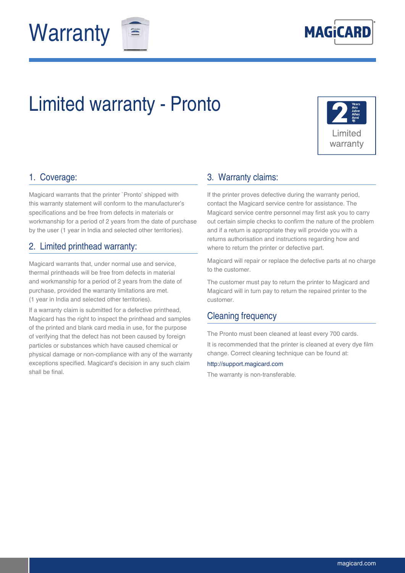





## Limited warranty - Pronto



#### 1. Coverage:

Magicard warrants that the printer `Pronto' shipped with this warranty statement will conform to the manufacturer's specifications and be free from defects in materials or workmanship for a period of 2 years from the date of purchase by the user (1 year in India and selected other territories).

#### 2. Limited printhead warranty:

Magicard warrants that, under normal use and service, thermal printheads will be free from defects in material and workmanship for a period of 2 years from the date of purchase, provided the warranty limitations are met. (1 year in India and selected other territories).

If a warranty claim is submitted for a defective printhead, Magicard has the right to inspect the printhead and samples of the printed and blank card media in use, for the purpose of verifying that the defect has not been caused by foreign particles or substances which have caused chemical or physical damage or non-compliance with any of the warranty exceptions specified. Magicard's decision in any such claim shall be final.

#### 3. Warranty claims:

If the printer proves defective during the warranty period, contact the Magicard service centre for assistance. The Magicard service centre personnel may first ask you to carry out certain simple checks to confirm the nature of the problem and if a return is appropriate they will provide you with a returns authorisation and instructions regarding how and where to return the printer or defective part.

Magicard will repair or replace the defective parts at no charge to the customer.

The customer must pay to return the printer to Magicard and Magicard will in turn pay to return the repaired printer to the customer.

#### Cleaning frequency

The Pronto must been cleaned at least every 700 cards. It is recommended that the printer is cleaned at every dye film change. Correct cleaning technique can be found at:

#### http://support.magicard.com

The warranty is non-transferable.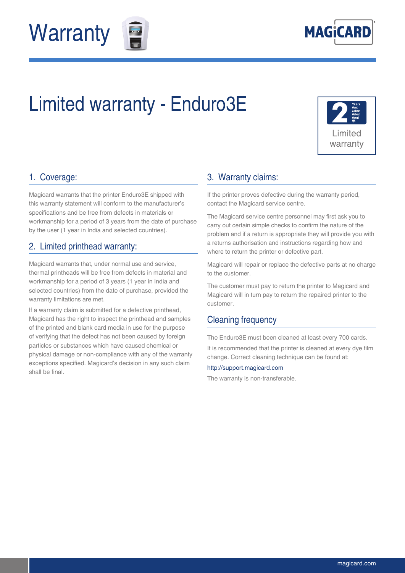



## Limited warranty - Enduro3E



#### 1. Coverage:

Magicard warrants that the printer Enduro3E shipped with this warranty statement will conform to the manufacturer's specifications and be free from defects in materials or workmanship for a period of 3 years from the date of purchase by the user (1 year in India and selected countries).

#### 2. Limited printhead warranty:

Magicard warrants that, under normal use and service, thermal printheads will be free from defects in material and workmanship for a period of 3 years (1 year in India and selected countries) from the date of purchase, provided the warranty limitations are met.

If a warranty claim is submitted for a defective printhead, Magicard has the right to inspect the printhead and samples of the printed and blank card media in use for the purpose of verifying that the defect has not been caused by foreign particles or substances which have caused chemical or physical damage or non-compliance with any of the warranty exceptions specified. Magicard's decision in any such claim shall be final.

#### 3. Warranty claims:

If the printer proves defective during the warranty period, contact the Magicard service centre.

The Magicard service centre personnel may first ask you to carry out certain simple checks to confirm the nature of the problem and if a return is appropriate they will provide you with a returns authorisation and instructions regarding how and where to return the printer or defective part.

Magicard will repair or replace the defective parts at no charge to the customer.

The customer must pay to return the printer to Magicard and Magicard will in turn pay to return the repaired printer to the customer.

#### Cleaning frequency

The Enduro3E must been cleaned at least every 700 cards.

It is recommended that the printer is cleaned at every dye film change. Correct cleaning technique can be found at:

#### http://support.magicard.com

The warranty is non-transferable.